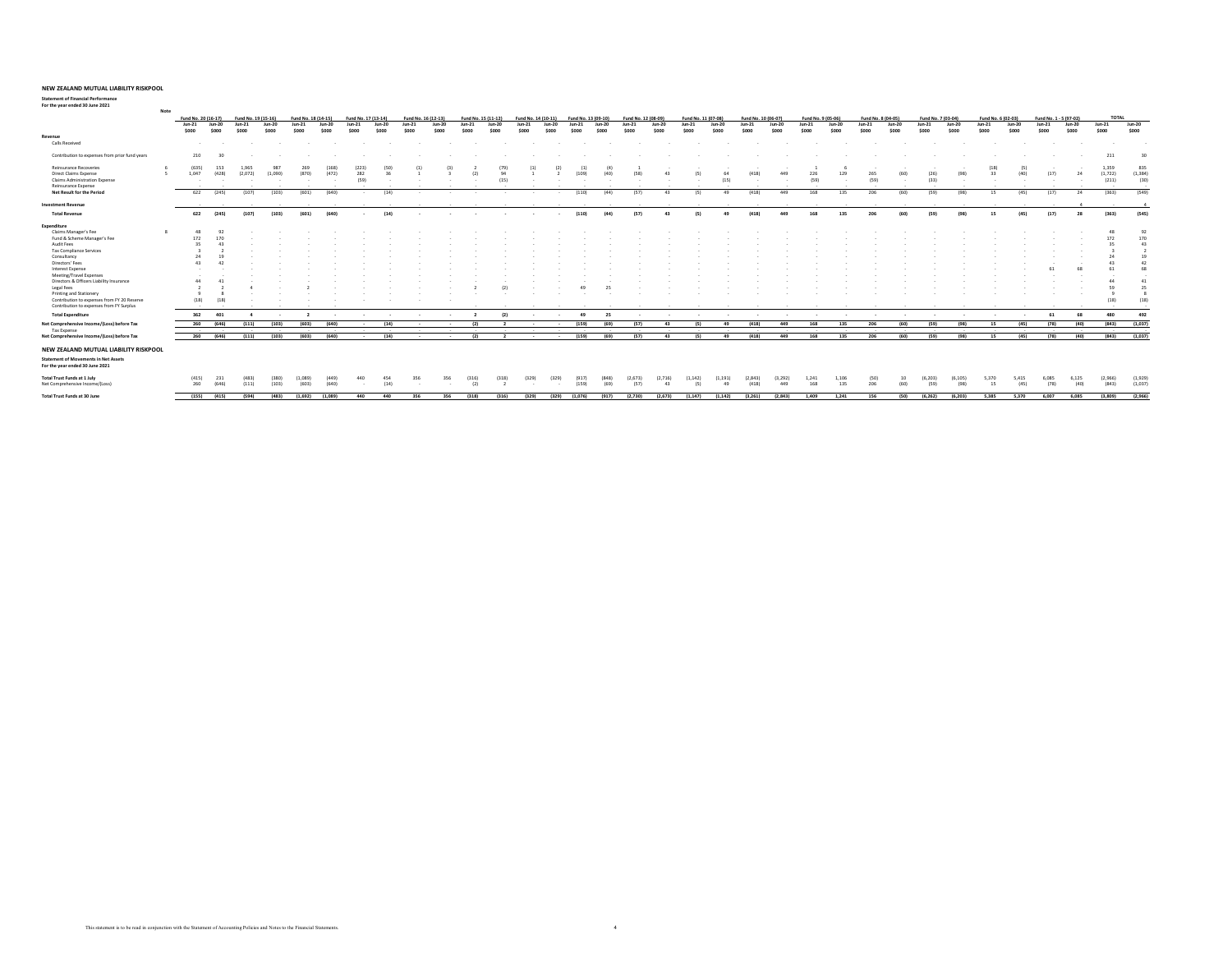**Note**

#### **Statement of Financial Performance For the year ended 30 June 2021**

|                                                | Fund No. 20 (16-17) |                 | Fund No. 19 (15-16) |                  |                   | Fund No. 18 (14-15) |                  | Fund No. 17 (13-14) | Fund No. 16 (12-13) |                   |                  | Fund No. 15 (11-12) | Fund No. 14 (10-11) |                | Fund No. 13 (09-10) |                  | Fund No. 12 (08-09)        |                | Fund No. 11 (07-08) |                  | Fund No. 10 (06-07) |                  | Fund No. 9 (05-06) |                |                 | Fund No. 8 (04-05) |                   | Fund No. 7 (03-04) |                   | Fund No. 6 (02-03) |                   | Fund No. 1 - 5 (97-02) |                   | <b>TOTAL</b>      |
|------------------------------------------------|---------------------|-----------------|---------------------|------------------|-------------------|---------------------|------------------|---------------------|---------------------|-------------------|------------------|---------------------|---------------------|----------------|---------------------|------------------|----------------------------|----------------|---------------------|------------------|---------------------|------------------|--------------------|----------------|-----------------|--------------------|-------------------|--------------------|-------------------|--------------------|-------------------|------------------------|-------------------|-------------------|
|                                                | $Jun-21$<br>\$000   | Jun-20<br>\$000 | $Jun-21$<br>\$000   | $Jun-20$<br>soon | $Jun-21$<br>\$000 | $Jun-20$<br>soon    | $Jun-21$<br>5000 | $Jun-20$<br>\$000   | $Jun-21$<br>\$000   | $Jun-20$<br>\$000 | $Jun-21$<br>5000 | $Jun-20$<br>\$000   | $Jun-21$<br>5000    | Jun-20<br>soon | $Jun-21$<br>5000    | $Jun-20$<br>5000 | Jun.21<br>S <sub>000</sub> | Jun-20<br>5000 | $Jun-21$<br>5000    | $Jun-20$<br>5000 | $Jun-21$<br>\$000   | $Jun-20$<br>5000 | $Jun-21$<br>\$000  | Jun-20<br>5000 | Jun-21<br>\$000 | $Jun-20$<br>\$000  | $Jun-21$<br>\$000 | Jun-20<br>\$000    | $Jun-21$<br>\$000 | Jun-20<br>\$000    | $Jun-21$<br>\$000 | $Jun-20$<br>\$000      | $Jun-21$<br>\$000 | $Jun-20$<br>\$000 |
| Revenue                                        |                     |                 |                     |                  |                   |                     |                  |                     |                     |                   |                  |                     |                     |                |                     |                  |                            |                |                     |                  |                     |                  |                    |                |                 |                    |                   |                    |                   |                    |                   |                        |                   |                   |
| Calls Received                                 | $\sim$              |                 |                     |                  |                   |                     |                  |                     |                     |                   |                  |                     |                     |                |                     |                  |                            |                |                     |                  |                     |                  |                    |                |                 |                    |                   |                    |                   |                    |                   | $\sim$                 |                   |                   |
| Contribution to expenses from prior fund years | 210                 | 30              |                     |                  |                   |                     |                  |                     |                     |                   |                  |                     |                     |                |                     |                  |                            |                |                     |                  |                     |                  |                    |                |                 |                    |                   |                    |                   |                    |                   | $\sim$                 | 211               | 20                |
| <b>Reinsurance Recoveries</b>                  | (635)               |                 | 2201                | 987              |                   |                     |                  |                     |                     |                   |                  |                     |                     |                |                     |                  |                            |                |                     |                  |                     |                  |                    |                |                 |                    |                   |                    |                   |                    |                   |                        | 1.359             | 835               |
| Direct Claims Expense                          | 1.047               | (428)           | (2.072)             | (1.090)          | (870)             | (472)               | 282              |                     |                     |                   |                  |                     |                     |                |                     |                  | 159                        |                |                     |                  | (418)               | 449              | 226                | 129            | 265             | <b>IGO)</b>        | (26)              | 198                |                   | 22<br>(40)         | (17)              |                        | (1.722)           | (1.384)           |
| Claims Administration Expense                  | $\sim$              |                 |                     |                  |                   |                     | (59)             |                     |                     |                   |                  | 115                 |                     |                |                     |                  |                            |                |                     | (15)             |                     | . .              | (59)               |                | (52)            |                    | (33)              |                    |                   |                    |                   | $\sim$                 | (211)             | (30)              |
| Reinsurance Expense                            | $\sim$              |                 |                     |                  |                   |                     | $\sim$           | $\sim$              |                     |                   |                  |                     |                     |                |                     |                  |                            |                |                     |                  |                     |                  |                    |                |                 |                    |                   |                    |                   |                    |                   | $\sim$                 | $\sim$            |                   |
| Net Result for the Period                      | 622                 | (245)           | (107)               | (103)            | (601)             | (640)               | $\sim$           | (14)                |                     |                   |                  |                     |                     |                | (110)               | (44)             | (57)                       | 43             | (5)                 | 49               | (418)               | 449              | 168                | 135            | 206             | (60)               | (59)              | (98)               |                   | (45)<br>15         | (17)              | 24                     | (363)             | (549)             |
| <b>Investment Revenue</b>                      |                     |                 |                     |                  |                   |                     |                  |                     |                     |                   |                  |                     |                     |                |                     |                  | $\sim$                     | $\sim$         |                     |                  |                     |                  |                    |                |                 |                    |                   |                    |                   |                    |                   |                        |                   |                   |
| <b>Total Revenue</b>                           | 622                 | (245)           | (107)               | (103)            | (601)             | (640)               | $\sim$           | (14)                |                     |                   |                  |                     | $\sim$              | $\sim$         | (110)               | (44)             | (57)                       | 43             | (5)                 | 49               | (418)               | 449              | 168                | 135            | 206             | (60)               | (59)              | (98)               |                   | (45)<br>15         | (17)              | 28                     | (363)             | (545)             |
| Expenditure                                    |                     |                 |                     |                  |                   |                     |                  |                     |                     |                   |                  |                     |                     |                |                     |                  |                            |                |                     |                  |                     |                  |                    |                |                 |                    |                   |                    |                   |                    |                   |                        |                   |                   |
| Claims Manager's Fee                           |                     |                 |                     |                  |                   |                     |                  |                     |                     |                   |                  |                     |                     |                |                     |                  |                            |                |                     |                  |                     |                  |                    |                |                 |                    |                   |                    |                   |                    |                   |                        | 48                | 92                |
| Fund & Scheme Manager's Fee                    | 172                 | 170             |                     |                  |                   |                     |                  |                     |                     |                   |                  |                     |                     |                |                     |                  |                            |                |                     |                  |                     |                  |                    |                |                 |                    |                   |                    |                   |                    |                   |                        | 172               | 170               |
| Audit Fees                                     | 35                  |                 |                     |                  |                   |                     |                  |                     |                     |                   |                  |                     |                     |                |                     |                  |                            |                |                     |                  |                     |                  |                    |                |                 |                    |                   |                    |                   |                    |                   |                        | 25                | 43                |
| Tax Compliance Services                        |                     |                 |                     |                  |                   |                     |                  |                     |                     |                   |                  |                     |                     |                |                     |                  |                            |                |                     |                  |                     |                  |                    |                |                 |                    |                   |                    |                   |                    |                   |                        |                   |                   |
| Consultancy                                    | 24                  |                 |                     |                  |                   |                     |                  |                     |                     |                   |                  |                     |                     |                |                     |                  |                            |                |                     |                  |                     |                  |                    |                |                 |                    |                   |                    |                   |                    |                   |                        | 24                | 19                |
| Directors' Fees                                | 43                  |                 |                     |                  |                   |                     |                  |                     |                     |                   |                  |                     |                     |                |                     |                  |                            |                |                     |                  |                     |                  |                    |                |                 |                    |                   |                    |                   |                    |                   |                        | 43                | A2                |
| Interest Expense                               |                     |                 |                     |                  |                   |                     |                  |                     |                     |                   |                  |                     |                     |                |                     |                  |                            |                |                     |                  |                     |                  |                    |                |                 |                    |                   |                    |                   |                    |                   |                        |                   | 69                |
| Meeting/Travel Expenses                        |                     |                 |                     |                  |                   |                     |                  |                     |                     |                   |                  |                     |                     |                |                     |                  |                            |                |                     |                  |                     |                  |                    |                |                 |                    |                   |                    |                   |                    |                   |                        |                   |                   |
| Directors & Officers Liability Insurance       | AA                  |                 |                     |                  |                   |                     |                  |                     |                     |                   |                  |                     |                     |                |                     |                  |                            |                |                     |                  |                     |                  |                    |                |                 |                    |                   |                    |                   |                    |                   |                        | 44                | 41                |
| Legal Fees                                     |                     |                 |                     |                  |                   |                     |                  |                     |                     |                   |                  |                     |                     |                |                     |                  |                            |                |                     |                  |                     |                  |                    |                |                 |                    |                   |                    |                   |                    |                   |                        | 59                |                   |
| Printing and Stationery                        | $\circ$             |                 |                     |                  |                   |                     |                  |                     |                     |                   |                  |                     |                     |                |                     |                  |                            |                |                     |                  |                     |                  |                    |                |                 |                    |                   |                    |                   |                    |                   |                        |                   |                   |
| Contribution to expenses from FY 20 Reserve    | (18)                | (18)            |                     |                  |                   |                     |                  |                     |                     |                   |                  |                     |                     |                |                     |                  |                            |                |                     |                  |                     |                  |                    |                |                 |                    |                   |                    |                   |                    |                   |                        | (18)              | (18)              |
| Contribution to expenses from FY Surplus       | $\sim$              |                 |                     |                  |                   |                     |                  |                     |                     |                   | $\sim$           |                     |                     |                |                     |                  |                            |                |                     |                  |                     |                  |                    |                |                 |                    |                   |                    |                   |                    |                   |                        |                   |                   |
| <b>Total Expenditure</b>                       | 362                 | 401             |                     |                  |                   |                     |                  |                     |                     |                   |                  | (2)                 | $\sim$              |                | 49                  | 25               |                            |                |                     |                  |                     |                  |                    |                |                 |                    |                   |                    |                   | $\sim$<br>$\sim$   | 61                | 68                     | 480               | 492               |
| Net Comprehensive Income/(Loss) before Tax     | 260                 | (646)           | (111)               | (103)            | (603)             | (640)               | $\sim$           | (14)                |                     | $\sim$            | (2)              |                     | <b>Service</b>      | $\sim$         | (159)               | (69)             | (57)                       | 43             | (5)                 | 49               | (418)               | 449              | 168                | 135            | 206             | (60)               | (59)              | (98)               |                   | (45)<br>15         | (78)              | (40)                   | (843)             | (1.037)           |
| Tax Expense                                    | $\sim$ $\sim$       |                 | $\sim$              |                  |                   |                     | $\sim$           | $\sim$              | $\sim$              | $\sim$            | $\sim$           | $\sim$              | $\sim$              | $\sim$         |                     |                  | $\sim$                     | $\sim$         | $\sim$              | $\sim$           | $\sim$              |                  | $\sim$             | $\sim$         |                 | $\sim$             |                   |                    |                   | $\sim$<br>$\sim$   | $\sim$            | $\sim$                 | $\sim$            | $\sim$            |
| Net Comprehensive Income/(Loss) before Tax     |                     | 260 (646)       | (111)               | (103)            | (603)             | (640)               | $\sim$           | (14)                |                     |                   | (2)              |                     |                     | $\sim$         | (159)               | (69)             | (57)                       | 43             | (5)                 | 49               | (418)               | 449              | 168                | 135            | 206             | (60)               | (59)              | (98)               |                   | 15<br>(45)         | (78)              | (40)                   | (843)             | (1,037)           |
| NEW ZEALAND MUTUAL LIABILITY RISKPOOL          |                     |                 |                     |                  |                   |                     |                  |                     |                     |                   |                  |                     |                     |                |                     |                  |                            |                |                     |                  |                     |                  |                    |                |                 |                    |                   |                    |                   |                    |                   |                        |                   |                   |
| <b>Statement of Movements in Net Assets</b>    |                     |                 |                     |                  |                   |                     |                  |                     |                     |                   |                  |                     |                     |                |                     |                  |                            |                |                     |                  |                     |                  |                    |                |                 |                    |                   |                    |                   |                    |                   |                        |                   |                   |
| For the year ended 30 June 2021                |                     |                 |                     |                  |                   |                     |                  |                     |                     |                   |                  |                     |                     |                |                     |                  |                            |                |                     |                  |                     |                  |                    |                |                 |                    |                   |                    |                   |                    |                   |                        |                   |                   |
| <b>Total Trust Funds at 1 July</b>             | (415)               | 231             | (483)               | (380)            | (1.089)           |                     |                  |                     |                     |                   |                  |                     | (329)               | (329)          |                     |                  | 12.673                     |                | (1.142)             | (1.191)          | (2.843)             | (3.292)          | 1.241              | 1.106          | (50)            |                    | (6.203)           |                    |                   | 5.370<br>5.415     | 6.085             | 6.125                  | (2.966)           | (1.929)           |
| Net Comprehensive Income/(Loss)                | 260                 | (646)           | (111)               | (103)            | (603)             | (640)               |                  | (14)                |                     |                   | (2)              |                     |                     |                | (159)               | (69)             | (57)                       | 43             | (5)                 | 49               | (418)               | 449              | 168                | 135            | 206             | (60)               | (52)              | (98)               |                   | 15<br>(45)         | (78)              | (40)                   | (843)             | (1.037)           |
| Total Trust Funds at 30 June                   | (155)               | (415)           | (594)               | (483)            | (1.692)           | (1.089)             | 440              | 440                 | 356                 | 356               | (318)            | (316)               | (329)               | (329)          | (1.076)             | (917)            | (2.730)                    | (2.673)        | (1.147)             | (1.142)          | (3.261)             | (2.843)          | 1,409              | 1.241          | 156             | (50)               | (6.262)           | (6.203)            |                   | 5.385<br>5,370     | 6.007             | 6.085                  | (3.809)           | (2.966)           |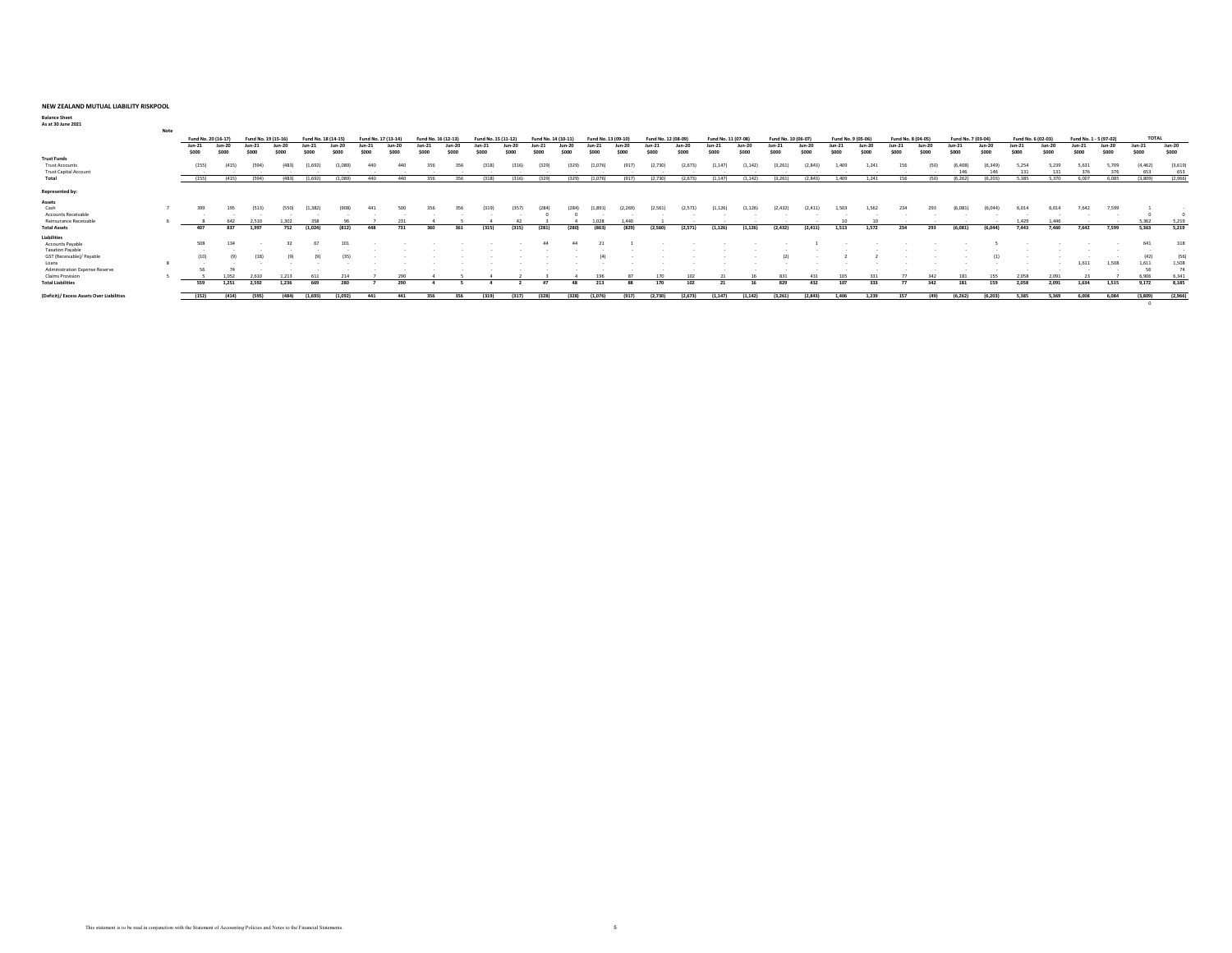**Balance Sheet As at 30 June 2021**

| As at su June 2021                        |      |                     |        |                     |       |                     |         |                     |         |                     |       |                     |       |                    |       |                     |          |                     |         |                     |         |                     |          |                   |         |                    |        |                    |         |                    |          |                        |        |              |         |
|-------------------------------------------|------|---------------------|--------|---------------------|-------|---------------------|---------|---------------------|---------|---------------------|-------|---------------------|-------|--------------------|-------|---------------------|----------|---------------------|---------|---------------------|---------|---------------------|----------|-------------------|---------|--------------------|--------|--------------------|---------|--------------------|----------|------------------------|--------|--------------|---------|
|                                           | Note |                     |        |                     |       |                     |         |                     |         |                     |       |                     |       |                    |       |                     |          |                     |         |                     |         |                     |          |                   |         |                    |        |                    |         |                    |          |                        |        |              |         |
|                                           |      | Fund No. 20 (16-17) |        | Fund No. 19 (15-16) |       | Fund No. 18 (14-15) |         | Fund No. 17 (13-14) |         | Fund No. 16 (12-13) |       | Fund No. 15 (11-12) |       | Fund No. 14 (10-1) |       | Fund No. 13 (09-10) |          | Fund No. 12 (08-09) |         | Fund No. 11 (07-08) |         | Fund No. 10 (06-07) |          | Fund No. 9 (05-06 |         | Fund No. 8 (04-05) |        | Fund No. 7 (03-04) |         | Fund No. 6 (02-03) |          | Fund No. 1 - 5 (97-02) |        | <b>TOTAL</b> |         |
|                                           |      | $Jun-21$            | Jun-20 | $Jun-21$            | Jun-2 | $Jun-2$             |         |                     | $Jun-2$ |                     | Jun-2 |                     |       |                    |       | $l$ un-21           | $Jun-20$ | $Jun-21$            | $Jun-2$ | $Jun-21$            | $Jun-2$ | Jun-21              | $Jun-20$ | Jun-21            | $Jun-2$ | Jun-21             | Jun-20 | $Jun-21$           | Jun-20  | $Jun-21$           | $Jun-20$ | $Jun-21$               | Jun-20 | $Jun-21$     | Jun-20  |
|                                           |      | \$000               | \$000  | \$000               | \$000 | \$000               | \$000   | \$000               | \$000   | \$000               | \$000 |                     | \$000 | <b>Sonn</b>        |       | \$000               | \$000    | \$000               | \$000   | \$000               | \$000   | \$000               | \$000    | \$000             | \$000   | \$000              | \$000  | \$000              | \$000   | \$000              | \$000    | \$000                  | \$000  | \$000        | \$000   |
| <b>Trust Funds</b>                        |      |                     |        |                     |       |                     |         |                     |         |                     |       |                     |       |                    |       |                     |          |                     |         |                     |         |                     |          |                   |         |                    |        |                    |         |                    |          |                        |        |              |         |
| <b>Trust Accounts</b>                     |      | (155)               |        |                     |       |                     |         |                     |         |                     |       |                     |       |                    |       |                     |          |                     |         |                     |         |                     |          |                   |         |                    |        |                    |         |                    |          |                        |        |              | (3.619) |
| <b>Trust Capital Account</b>              |      |                     |        |                     |       |                     |         |                     |         |                     |       |                     |       |                    |       |                     |          |                     |         |                     | $\sim$  | $\sim$              | $\sim$   |                   |         |                    |        |                    |         |                    |          |                        |        |              | 653     |
| Total                                     |      |                     | (415)  | (594)               | (483) | (1.692)             | 1.089   |                     | 440     |                     | 356   |                     | (316) | (329)              | (329) |                     | (917)    | (2.730)             | (2.673) | (1.147)             | (1.142) | (3.261)             | (2.843)  | 1.409             | 1.241   |                    | rson   | (6.262)            | (6.203) | 5.385              | 5.370    | 6.007                  |        | (3.809)      | (2.966) |
| Represented by:                           |      |                     |        |                     |       |                     |         |                     |         |                     |       |                     |       |                    |       |                     |          |                     |         |                     |         |                     |          |                   |         |                    |        |                    |         |                    |          |                        |        |              |         |
|                                           |      |                     |        |                     |       |                     |         |                     |         |                     |       |                     |       |                    |       |                     |          |                     |         |                     |         |                     |          |                   |         |                    |        |                    |         |                    |          |                        |        |              |         |
| Assets                                    |      |                     |        |                     |       |                     |         |                     |         |                     |       |                     |       |                    |       |                     |          |                     |         |                     |         |                     |          |                   |         |                    |        |                    |         |                    |          |                        |        |              |         |
| Cash                                      |      | 399                 |        |                     |       |                     |         |                     |         |                     |       |                     |       |                    |       |                     |          |                     |         |                     |         |                     |          |                   |         |                    |        |                    |         |                    |          |                        |        |              |         |
| Accounts Receivably                       |      |                     |        |                     |       |                     |         |                     |         |                     |       |                     |       |                    |       |                     |          |                     |         |                     |         |                     |          |                   |         |                    |        |                    |         |                    |          |                        |        |              |         |
| Reinsurance Receivable                    |      |                     |        |                     |       |                     |         |                     |         |                     |       |                     |       |                    |       |                     | 440      |                     |         |                     |         |                     |          |                   |         |                    |        |                    |         | 1.429              |          |                        |        |              | 5.219   |
| <b>Total Assets</b>                       |      | 407                 |        |                     |       |                     |         |                     |         |                     |       |                     | (315) |                    |       |                     |          |                     | (2.571) |                     |         | (2.432)             |          |                   |         |                    |        | (6.081)            | (6.044) | 7.442              |          | 7.642                  | 7.599  | 5,363        | 5,219   |
| Liabilities                               |      |                     |        |                     |       |                     |         |                     |         |                     |       |                     |       |                    |       |                     |          |                     |         |                     |         |                     |          |                   |         |                    |        |                    |         |                    |          |                        |        |              |         |
| Accounts Payable                          |      | 508                 |        |                     |       |                     |         |                     |         |                     |       |                     |       |                    |       |                     |          |                     |         |                     |         |                     |          |                   |         |                    |        |                    |         |                    |          |                        |        |              | 318     |
| <b>Taxation Pavable</b>                   |      |                     |        |                     |       |                     |         |                     |         |                     |       |                     |       |                    |       |                     |          |                     |         |                     |         |                     |          |                   |         |                    |        |                    |         |                    |          |                        |        |              |         |
| GST (Receivable)/ Payable                 |      | (10)                |        |                     |       |                     |         |                     |         |                     |       |                     |       |                    |       |                     |          |                     |         |                     |         | (2)                 |          |                   |         |                    |        |                    |         |                    |          |                        |        | (42)         | (56)    |
| Loans                                     |      |                     |        |                     |       |                     |         |                     |         |                     |       |                     |       |                    |       |                     |          |                     |         |                     |         |                     |          |                   |         |                    |        |                    |         |                    |          | 1.61                   | 1.508  |              | 1.508   |
| Administration Expense Reserve            |      |                     |        |                     |       |                     |         |                     |         |                     |       |                     |       |                    |       |                     |          |                     |         |                     |         |                     |          |                   |         |                    |        |                    |         |                    |          |                        |        |              |         |
| <b>Claims Provision</b>                   |      |                     |        |                     |       |                     |         |                     |         |                     |       |                     |       |                    |       |                     |          |                     |         |                     |         |                     |          |                   |         |                    |        |                    |         |                    |          |                        |        |              |         |
| <b>Total Liabilities</b>                  |      | 559                 | 1.251  |                     |       |                     |         |                     | 290     |                     |       |                     |       |                    |       |                     |          | 170                 | 102     |                     |         | 829                 |          |                   |         |                    |        |                    |         | 2000               | 2.091    | 1.634                  |        | 9.172        | 8.185   |
| (Deficit)/ Excess Assets Over Liabilities |      | (152)               | (414)  | (595)               | (484) | (1.693)             | (1.092) | 441                 | 441     |                     | 356   | (319)               | (317) | (328)              | (328) | (1.076)             | (917)    | (2.730)             | (2.673) | (1.147)             | (1.142) | (3.261)             | (2, 843) | 1.406             | 1.239   |                    | (49)   | (6.262)            | (6.203) | 5.385              | 5.369    | 6,008                  | 6.084  | (3,809)      | (2,966) |

 $\overline{\phantom{a}0}$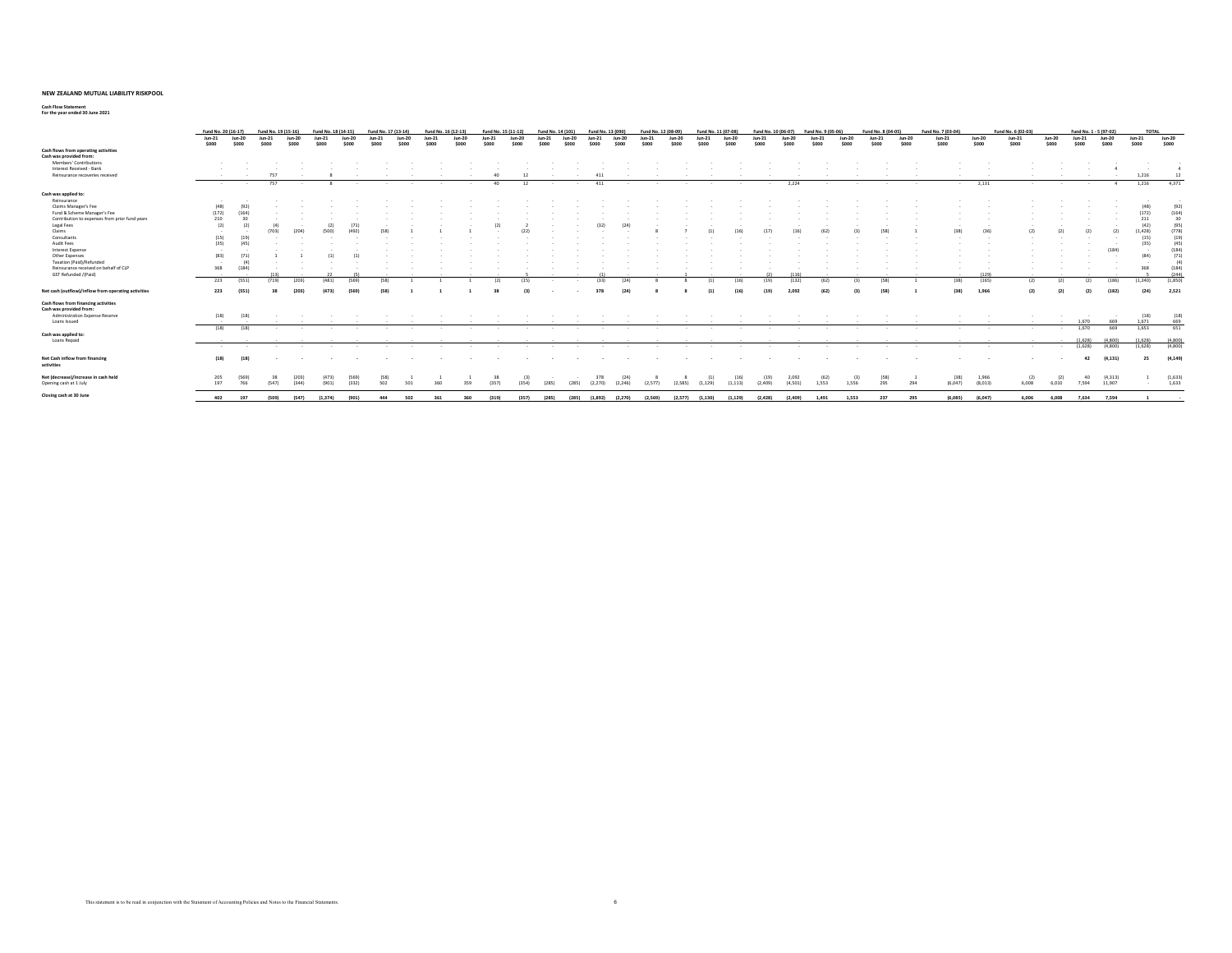**Cash Flow Statement For the year ended 30 June 2021**

|                                                                | Fund No. 20 (16-17) |                                     |        | Fund No. 19 (15-16) |                | Fund No. 18 (14-15) |        | Fund No. 17 (13-14) |            | Fund No. 16 (12-13) |            | Fund No. 15 (11-12) |          | Fund No. 14 (101) |          | Fund No. 13 (090) |                       |          | Fund No. 12 (08-09) |                     | Fund No. 11 (07-08) |                     | Fund No. 10 (06-07)      |                  | Fund No. 9 (05-06) |          |     | Fund No. 8 (04-05) |     | Fund No. 7 (03-04) |                  | Fund No. 6 (02-03) |              |                              | Fund No. 1 - 5 (97-02) |          | <b>TOTAL</b>     |                  |
|----------------------------------------------------------------|---------------------|-------------------------------------|--------|---------------------|----------------|---------------------|--------|---------------------|------------|---------------------|------------|---------------------|----------|-------------------|----------|-------------------|-----------------------|----------|---------------------|---------------------|---------------------|---------------------|--------------------------|------------------|--------------------|----------|-----|--------------------|-----|--------------------|------------------|--------------------|--------------|------------------------------|------------------------|----------|------------------|------------------|
|                                                                | $Jun-21$            | $Jun-20$                            | 11, 21 | $lim-20$            | $lim-21$       | lim.20              | lim.21 |                     | $110 - 20$ | lim.21              | $110 - 20$ | $1.00 - 21$         | $lim-20$ | $lum-21$          | $110-20$ | lim.21            | lim.20                | $lum-21$ | $110 - 20$          |                     | lim.21              | $100-20$            | $lcm-21$                 | Jun-20           | $lim-21$           | $lim-20$ |     | $lim-21$<br>lim.20 |     | $Jun-21$           | $Jun-20$         | $Jun-21$           | Jun-20       | $Jun-21$                     | Jun-20                 |          | $Jun-21$         | Jun-20           |
|                                                                | \$000               | \$000                               | sono   | soon                | \$000          | <b>con</b>          | \$000  |                     | 5000       | S <sub>000</sub>    | \$000      | \$000               | $s$ non  | <b>SOOO</b>       | song     | 5000              | \$000                 | snog     | soon                | S <sub>000</sub>    |                     | soon                | snon                     | \$000            | 5000               | 5000     |     | $s$ non<br>\$000   |     | \$000              | \$000            | \$000              | \$000        | \$000                        | \$000                  |          | \$000            | \$000            |
| Cash flows from operating activities                           |                     |                                     |        |                     |                |                     |        |                     |            |                     |            |                     |          |                   |          |                   |                       |          |                     |                     |                     |                     |                          |                  |                    |          |     |                    |     |                    |                  |                    |              |                              |                        |          |                  |                  |
| Cash was provided from:                                        |                     |                                     |        |                     |                |                     |        |                     |            |                     |            |                     |          |                   |          |                   |                       |          |                     |                     |                     |                     |                          |                  |                    |          |     |                    |     |                    |                  |                    |              |                              |                        |          |                  |                  |
| Members' Contributions                                         |                     |                                     |        |                     |                |                     |        |                     |            |                     |            |                     |          |                   |          |                   |                       |          |                     |                     |                     |                     |                          |                  |                    |          |     |                    |     |                    |                  |                    |              |                              |                        |          |                  |                  |
| Interest Received - Bank                                       |                     |                                     |        |                     |                |                     |        |                     |            |                     |            |                     |          |                   |          |                   |                       |          |                     |                     |                     |                     |                          |                  |                    |          |     |                    |     |                    |                  |                    |              |                              |                        |          |                  |                  |
| Reinsurance recoveries received                                |                     |                                     | 757    |                     |                |                     |        |                     |            |                     |            |                     |          |                   |          | 411               |                       |          |                     |                     |                     |                     |                          |                  |                    |          |     |                    |     |                    |                  |                    |              |                              |                        |          | 1,216            | 12               |
|                                                                | <b>State Street</b> | <b>State State</b>                  | 757    |                     |                | $\alpha$            | $\sim$ |                     |            |                     |            | 40                  | 12       |                   |          | 411               | $\sim$                | $\sim$   |                     | $\sim$              | $\sim$              | <b>State Street</b> | the contract of the con- | 2.224            | $\sim$             |          |     |                    |     | <b>Service</b>     | 2.131            | $\sim$             |              | <b>Service</b>               | <b>State Street</b>    | -4       | 1,216            | 4.371            |
| Cash was applied to:                                           |                     |                                     |        |                     |                |                     |        |                     |            |                     |            |                     |          |                   |          |                   |                       |          |                     |                     |                     |                     |                          |                  |                    |          |     |                    |     |                    |                  |                    |              |                              |                        |          |                  |                  |
| Reinsurance                                                    | $\sim$              |                                     |        |                     |                |                     |        |                     |            |                     |            |                     |          |                   |          |                   |                       |          |                     |                     |                     |                     |                          |                  |                    |          |     |                    |     |                    |                  |                    |              |                              |                        |          |                  |                  |
| Claims Manager's Fee                                           | (48)                |                                     |        |                     |                |                     |        |                     |            |                     |            |                     |          |                   |          |                   |                       |          |                     |                     |                     |                     |                          |                  |                    |          |     |                    |     |                    |                  |                    |              |                              |                        |          | $\overline{148}$ | (92)             |
| Fund & Scheme Manager's Fee                                    |                     |                                     |        |                     |                |                     |        |                     |            |                     |            |                     |          |                   |          |                   |                       |          |                     |                     |                     |                     |                          |                  |                    |          |     |                    |     |                    |                  |                    |              |                              |                        |          |                  |                  |
|                                                                | (172)               |                                     |        |                     |                |                     |        |                     |            |                     |            |                     |          |                   |          |                   |                       |          |                     |                     |                     |                     |                          |                  |                    |          |     |                    |     |                    |                  |                    |              |                              |                        |          | (172)            | (164)            |
| Contribution to expenses from prior fund years                 | 210                 |                                     |        |                     |                |                     |        |                     |            |                     |            |                     |          |                   |          |                   |                       |          |                     |                     |                     |                     |                          |                  |                    |          |     |                    |     |                    |                  |                    |              |                              |                        |          | 211              | 30               |
| Legal Fees                                                     | (2)                 | (2)                                 |        |                     |                |                     | (71    |                     |            |                     |            |                     |          |                   |          | (32)              | (24)                  |          |                     |                     |                     |                     |                          |                  |                    |          |     |                    |     |                    |                  |                    |              |                              |                        |          | (42)             | (95)             |
| Claims                                                         | $\sim$              | $\sim$                              |        | (204)               | (500)          |                     | (492)  |                     |            |                     |            |                     |          |                   |          |                   |                       |          |                     |                     |                     |                     |                          |                  |                    |          |     |                    |     | (38)               |                  |                    |              |                              |                        |          | (1.428)          | (778)            |
| Consultants                                                    | (15)                | (19)                                |        |                     |                |                     |        |                     |            |                     |            |                     |          |                   |          |                   |                       |          |                     |                     |                     |                     |                          |                  |                    |          |     |                    |     |                    |                  |                    |              |                              |                        |          | (15)             | (19)             |
| Audit Fees                                                     | (35)                | 145                                 |        |                     |                |                     |        |                     |            |                     |            |                     |          |                   |          |                   |                       |          |                     |                     |                     |                     |                          |                  |                    |          |     |                    |     |                    |                  |                    |              |                              |                        |          | (35)             | 145              |
| Interest Expense                                               | $\sim$              |                                     |        |                     |                |                     |        |                     |            |                     |            |                     |          |                   |          |                   |                       |          |                     |                     |                     |                     |                          |                  |                    |          |     |                    |     |                    |                  |                    |              |                              |                        | (184)    |                  | (184)            |
| Other Expenses                                                 | (83)                |                                     |        |                     |                |                     |        |                     |            |                     |            |                     |          |                   |          |                   |                       |          |                     |                     |                     |                     |                          |                  |                    |          |     |                    |     |                    |                  |                    |              |                              |                        |          | (84)             | (71)             |
| Taxation (Paid)/Refunded                                       | $\sim$              | (4)                                 |        |                     |                |                     |        |                     |            |                     |            |                     |          |                   |          |                   |                       |          |                     |                     |                     |                     |                          |                  |                    |          |     |                    |     |                    |                  |                    |              |                              |                        |          |                  |                  |
| Reinsurance received on behalf of CLP                          | 368                 | (184)                               |        |                     |                |                     |        |                     |            |                     |            |                     |          |                   |          |                   |                       |          |                     |                     |                     |                     |                          |                  |                    |          |     |                    |     |                    |                  |                    |              |                              |                        |          | 368              | (184)            |
| <b>GST Refunded /(Paid)</b>                                    | $\sim$              |                                     | (13)   |                     |                |                     |        |                     |            |                     |            |                     |          |                   |          | 111               |                       |          |                     |                     |                     |                     | (2)                      |                  |                    |          |     |                    |     |                    | (129)            |                    |              |                              |                        |          |                  | (244)            |
|                                                                | 223                 | (551)                               | (719)  | (203)               | (481)          | (569)               |        | (58)                |            |                     |            | (2)                 | (15)     |                   |          | (33)              | (24)                  |          |                     |                     | (1)                 | (16)                | (19)                     | (132)            | (62)               |          | (3) | (58)               |     | (38)               | (165)            | (2)                | (2)          |                              | (2)                    | (186)    | (1.240)          | (1.850)          |
| Net cash (outflow)/inflow from operating activities            | 223                 | (551)                               |        | (203)               | (473)          | (569)               |        | (58)                |            |                     |            |                     |          |                   |          | 378               | 124                   |          |                     |                     | (1)                 | (16)                | (19)                     | 2.092            | (62)               |          |     | (58)               |     | (38)               | 1.966            |                    |              |                              |                        |          | (24)             | 2.521            |
| Cash flows from financing activities                           |                     |                                     |        |                     |                |                     |        |                     |            |                     |            |                     |          |                   |          |                   |                       |          |                     |                     |                     |                     |                          |                  |                    |          |     |                    |     |                    |                  |                    |              |                              |                        |          |                  |                  |
| Cash was provided from:                                        |                     |                                     |        |                     |                |                     |        |                     |            |                     |            |                     |          |                   |          |                   |                       |          |                     |                     |                     |                     |                          |                  |                    |          |     |                    |     |                    |                  |                    |              |                              |                        |          |                  |                  |
| Administration Expense Reserve                                 | (18)                | (18)                                |        |                     |                |                     |        |                     |            |                     |            |                     |          |                   |          |                   |                       |          |                     |                     |                     |                     |                          |                  |                    |          |     |                    |     |                    |                  |                    |              |                              |                        |          | (18)             | (18)             |
| Loans Issued                                                   |                     |                                     |        |                     |                |                     |        |                     |            |                     |            |                     |          |                   |          |                   |                       |          |                     |                     |                     |                     |                          |                  |                    |          |     |                    |     |                    |                  |                    |              |                              | 1.670                  | 669      | 1.671            | 669              |
|                                                                | (18)                | (18)                                |        | $\sim$<br>$\sim$    |                |                     | $\sim$ | $\sim$              |            | $\sim$              | $\sim$     | $\sim$              | $\sim$   | $\sim$            | $\sim$   |                   | $\sim$                | $\sim$   |                     | $\sim$              | $\sim$              | $\sim$              | $\sim$                   | $\sim$           |                    |          |     | $\sim$             |     |                    | $\sim$           | <b>Service</b>     |              | 1.670<br><b>State Street</b> |                        | 669      | 1.653            | 651              |
| Cash was applied to:                                           |                     |                                     |        |                     |                |                     |        |                     |            |                     |            |                     |          |                   |          |                   |                       |          |                     |                     |                     |                     |                          |                  |                    |          |     |                    |     |                    |                  |                    |              |                              |                        |          |                  |                  |
| Loans Repaid                                                   |                     | the contract of the contract of the |        |                     |                |                     |        |                     |            |                     |            |                     |          |                   |          |                   |                       |          |                     |                     |                     |                     |                          |                  |                    |          |     |                    |     |                    |                  | $\sim$             |              | $\sim$                       | (1.628)                | (4, 800) | (1.628)          | (4,800)          |
|                                                                | <b>State State</b>  | $\sim$                              |        | $\sim$<br>$\sim$    |                | $\sim$              | $\sim$ |                     |            |                     |            | $\sim$              | $\sim$   | $\sim$            | $\sim$   | $\sim$            | $\sim$                | $\sim$   |                     | $\sim$              | $\sim$              | $\sim$              | $\sim$                   | $\sim$           |                    |          |     | $\sim$             |     | $\sim$             | $\sim$           | $\sim$             | $\sim$       |                              | (1.628)                | (4,800)  | (1,628)          | (4,800)          |
| Net Cash inflow from financing<br>activities                   | (18)                | (18)                                |        |                     |                |                     |        |                     |            |                     |            |                     |          |                   |          | $\sim$            |                       |          |                     |                     |                     |                     |                          |                  |                    |          |     |                    |     |                    |                  | $\sim$             |              | $\sim$                       | 42                     | (4.131)  | 25               | (4.149)          |
| Net (decrease)/increase in cash held<br>Opening cash at 1 July | 205<br>197          | (569)<br>766                        | (547)  | (203)<br>(344)      | (473)<br>(901) | (332)               | (569)  | (58)<br>502         | 501        | 360                 | 359        | (357)               | (354)    | (285)             | (285)    | 378<br>(2.270)    | (24)<br>(2, 246)      | (2.577)  |                     | (2.585)             | (1, 129)            | (16)<br>(1.113)     | (19)<br>(2.409)          | 2.092<br>(4.501) | (62)<br>1.553      | 1.556    | (3) | (58)<br>295        | 294 | (38)<br>(6.047)    | 1.966<br>(8.013) | (2)<br>6.008       | (2)<br>6,010 | 7.594                        | 40<br>11,907           | (4, 313) | $\sim$           | (1,633)<br>1,633 |
| Closing cash at 30 June                                        |                     |                                     |        |                     |                |                     |        |                     |            |                     |            |                     |          |                   |          |                   |                       |          |                     |                     |                     |                     |                          |                  |                    |          |     |                    |     |                    |                  |                    |              |                              |                        |          |                  |                  |
|                                                                | 402                 | 197                                 | (509)  | (547)               | (1.374)        | (901)               |        | 444                 | 502        | 361                 | 360        | (319)               | (357)    | (285)             |          |                   | (285) (1.892) (2.270) | (2.569)  |                     | $(2.577)$ $(1.130)$ |                     | (1.129)             | (2.428)                  | (2, 409)         | 1,491              | 1.553    |     | 237                | 295 | (6.085)            | (6.047)          | 6,006              | 6.008        | 7.634                        |                        | 7.594    |                  |                  |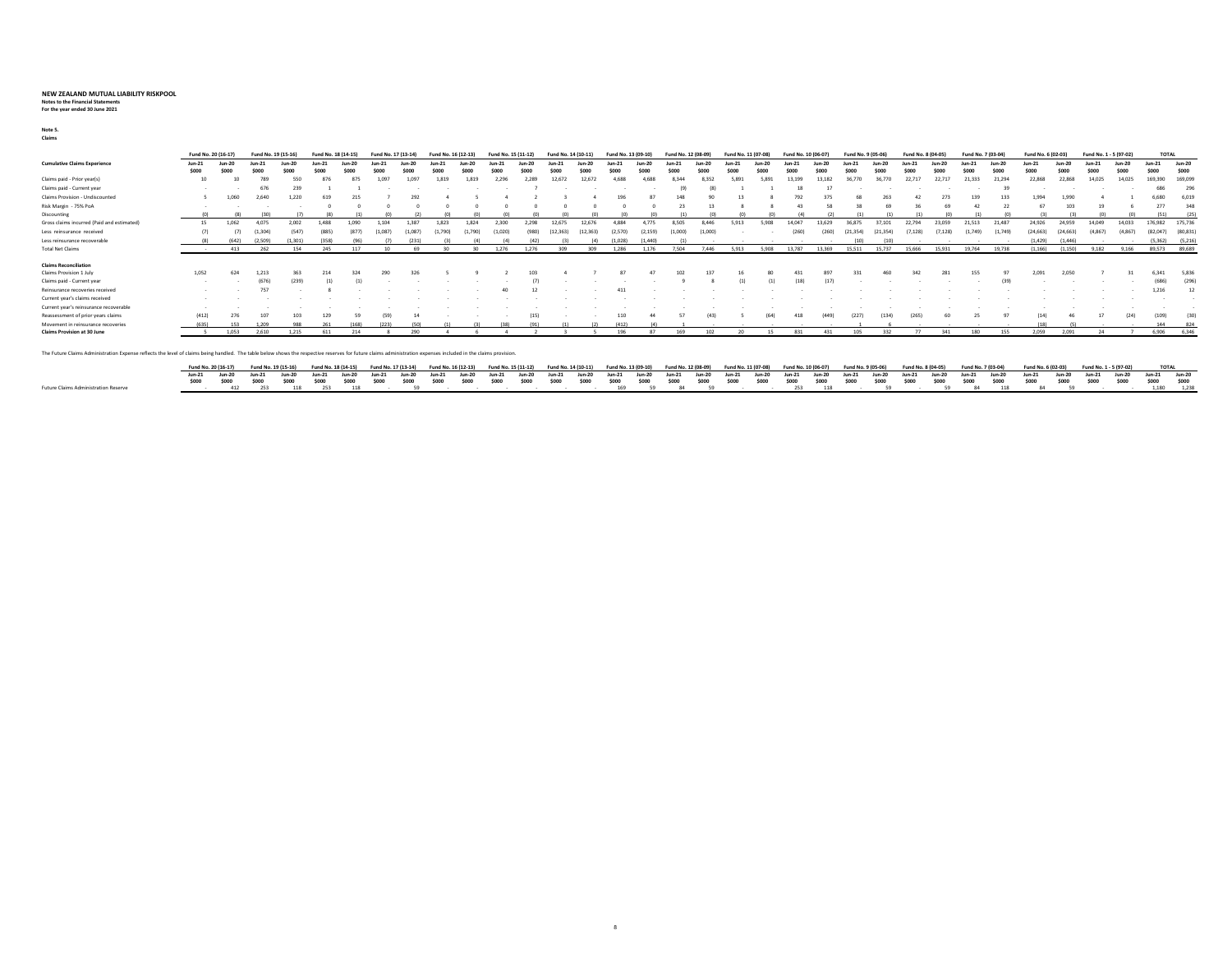### **Notes to the Financial Statements For the year ended 30 June 2021**

**Note 5.** (1) (1) - (2) (2) - (1) (2) - (1) (2) 3 (1) 2 2 1 (8) **Claims**

|                                            | Fund No. 20 (16-17) |                 | Fund No. 19 (15-16) |                 | Fund No. 18 (   |     | Fund No. 17 (13-14) |         | Fund No. 16 (12-1. |          | Fund No. 15 (11-12) |        | Fund No. 14 (10-11 |                         | Fund No. 13 (09-10) |                   | Fund No. 12 (08-09 |          |        |                 |                 | $.10(06-07)$ | Fund No. 9 (05-06) |       | Fund No. 8 (04-05) |        | Fund No. 7 (03-04) |               | Fund No. 6 (02-03) |         | Fund No. 1 - 5 (97-02) |                | <b>TOTAL</b>                |                 |
|--------------------------------------------|---------------------|-----------------|---------------------|-----------------|-----------------|-----|---------------------|---------|--------------------|----------|---------------------|--------|--------------------|-------------------------|---------------------|-------------------|--------------------|----------|--------|-----------------|-----------------|--------------|--------------------|-------|--------------------|--------|--------------------|---------------|--------------------|---------|------------------------|----------------|-----------------------------|-----------------|
| <b>Cumulative Claims Experience</b>        | Jun-21<br>\$000     | Jun-20<br>\$000 | Jun-21<br>\$000     | Jun-20<br>\$000 | Jun-21<br>\$000 |     |                     | $lun-2$ | sna                | $lum-20$ | Jun-21              | Jun-20 | $un-2$             | $lum-20$<br>\$000       | 5000                | $Jun-20$<br>\$000 | Jun-21             | $lum-20$ | soor   | Jun-20<br>\$000 | Jun-21<br>\$000 | Jun-20       | lun-21             | soor  | 5000               | soon   | Jun-21<br>\$000    | <b>Jun-20</b> | Jun-21<br>\$000    |         | Jun-21<br>\$000        | Jun-20<br>\$00 | $Jun-21$<br>S <sub>00</sub> | Jun-20<br>\$000 |
| Claims paid - Prior year(s)                | 10                  |                 | 789                 | 550             | 876             |     | 1.097               | 1.097   | 1.819              |          |                     |        | 12.672             |                         |                     |                   |                    | 8357     |        |                 |                 |              |                    | 36.77 |                    |        |                    | 21.294        | 22.868             |         | 14.025                 | 14.025         | 169,390                     | 169,099         |
| Claims paid - Current year                 | $\sim$              |                 | 676                 | 239             |                 |     |                     |         |                    |          |                     |        |                    |                         |                     |                   |                    |          |        |                 |                 |              |                    |       |                    |        |                    |               |                    |         |                        |                | 686                         | 296             |
| Claims Provision - Undiscounted            |                     | 1.060           | 2,640               | 1,220           |                 | 215 |                     |         |                    |          |                     |        |                    |                         | 1 <sub>QF</sub>     | 87                |                    | 90       |        |                 |                 |              |                    | 263   |                    |        | 139                |               | 1.994              | 1.990   |                        |                | 6,680                       | 6,019           |
| Risk Margin - 75% PoA                      |                     |                 |                     |                 |                 |     |                     |         |                    |          |                     |        |                    |                         |                     |                   |                    |          |        |                 |                 |              |                    |       |                    |        |                    |               |                    | 103     |                        |                | 277                         | 348             |
| Discounting                                |                     | (R)             | (30)                |                 |                 |     |                     |         |                    |          |                     |        |                    |                         |                     |                   |                    |          |        |                 |                 |              |                    |       |                    |        |                    |               |                    |         |                        |                |                             | (25)            |
| Gross claims incurred (Paid and estimated) |                     | 1.062           | 4.075               | 2.002           |                 |     |                     | 387     |                    |          | 30                  |        | 12.675             | 12.676                  |                     |                   | 3.50               |          | 5913   | 5908            | 4.047           | 3.629        | 36.87              |       |                    | 23.059 | 21.513             | 21,487        | 24.926             |         | 14.049                 | 14.033         | 176.982                     | 175,736         |
| Less reinsurance received                  | (7)                 |                 | (1.304)             | (547)           | (885            |     |                     |         |                    |          |                     |        |                    |                         |                     |                   |                    | (1.000)  |        |                 | (260)           |              |                    |       |                    |        |                    | (1.749)       | 24.6631            |         |                        |                | (82.047)                    | (80, 831)       |
| Less reinsurance recoverable               | (R)                 | (642)           | (2.509)             | (1.301)         | (358)           |     |                     |         |                    |          |                     |        |                    | $\left( \Delta \right)$ | (1.028)             |                   |                    |          |        |                 |                 |              | (10)               | (10)  |                    |        |                    |               | (1.429)            | (1.446) |                        |                | (5.362)                     | (5, 216)        |
| <b>Total Net Claims</b>                    |                     | 413             | 262                 | 154             | 245             | 117 |                     |         |                    |          |                     | 1 276  | 309                | ang                     |                     |                   |                    | 7,446    |        | S QOR           | 13787           |              |                    |       | 15.666             | 15.931 | 19.764             | 19738         | 1.166              |         | 9 1 8 2                | 9.166          |                             | 89,573 89,689   |
|                                            |                     |                 |                     |                 |                 |     |                     |         |                    |          |                     |        |                    |                         |                     |                   |                    |          |        |                 |                 |              |                    |       |                    |        |                    |               |                    |         |                        |                |                             |                 |
| <b>Claims Reconciliation</b>               |                     |                 |                     |                 |                 |     |                     |         |                    |          |                     |        |                    |                         |                     |                   |                    |          |        |                 |                 |              |                    |       |                    |        |                    |               |                    |         |                        |                |                             |                 |
| Claims Provision 1 July                    | 1,052               | 624             | 1,213               |                 |                 |     | 290                 |         |                    |          |                     |        |                    |                         |                     |                   |                    |          |        |                 |                 |              |                    |       |                    |        |                    |               | 2.091              | 2.050   |                        |                | 6.341                       | 5.836           |
| Claims paid - Current year                 |                     |                 | (676)               | (239)           | (1)             |     |                     |         |                    |          |                     |        |                    |                         |                     |                   |                    |          |        |                 |                 | (17)         |                    |       |                    |        |                    |               |                    |         |                        |                | (686)                       | (296)           |
| Reinsurance recoveries received            |                     |                 | 757                 |                 |                 |     |                     |         |                    |          |                     |        |                    |                         |                     |                   |                    |          |        |                 |                 |              |                    |       |                    |        |                    |               |                    |         |                        |                | 1,216                       | 12              |
| Current year's claims received             |                     |                 |                     |                 |                 |     |                     |         |                    |          |                     |        |                    |                         |                     |                   |                    |          |        |                 |                 |              |                    |       |                    |        |                    |               |                    |         |                        |                |                             |                 |
| Current year's reinsurance recoverable     |                     |                 |                     |                 |                 |     |                     |         |                    |          |                     |        |                    |                         |                     |                   |                    |          |        |                 |                 |              |                    |       |                    |        |                    |               |                    |         |                        |                |                             |                 |
| Reassessment of prior years claims         | (412)               | 276             | 107                 | 103             | 129             |     | (59)                |         |                    |          |                     | (15)   |                    |                         | 110                 |                   |                    |          |        | (64)            |                 | (449)        | (227)              | (134) | (265)              |        |                    | o3            | (14)               |         |                        |                | (109)                       | (30)            |
| Movement in reinsurance recoveries         | (635)               | 153             | 1.209               | 988             |                 |     |                     | (50)    |                    |          |                     | (91)   |                    |                         | (412)               |                   |                    |          | $\sim$ |                 | $\sim$          |              |                    |       |                    | $\sim$ |                    |               | (18)               |         |                        |                | 144                         | 824             |
| Claims Provision at 30 June                |                     | 1.053           | 2.610               | 1.215           |                 |     |                     |         |                    |          |                     |        |                    |                         |                     |                   |                    |          |        |                 |                 |              |                    |       |                    |        |                    |               | 2.059              | 2.091   |                        |                |                             | 6,906 6,346     |

The Future Claims Administration Expense reflects the level of claims being handled. The table below shows the respective reserves for future claims administration expenses included in the claims provision.

|                                      |  |  |  |  |  |  |  |  |  |  |  |  |  |  | Fund No. 20 (16-17) Fund No. 19 (15-16) Fund No. 18 (14-15) Fund No. 18 (14-15) Fund No. 16 (12-13) Fund No. 15 (12-12) Fund No. 11 (12-01) Fund No. 13 (19-10) Fund No. 12 (08-09) Fund No. 11 (07-08) Fund No. 10 (06-07) Fu                                              |  |  |  |
|--------------------------------------|--|--|--|--|--|--|--|--|--|--|--|--|--|--|-----------------------------------------------------------------------------------------------------------------------------------------------------------------------------------------------------------------------------------------------------------------------------|--|--|--|
|                                      |  |  |  |  |  |  |  |  |  |  |  |  |  |  | Jun-21 Jun-20 Jun-21 Jun-20 Jun-21 Jun-20 Jun-21 Jun-20 Jun-21 Jun-20 Jun-21 Jun-20 Jun-21 Jun-20 Jun-21 Jun-20 Jun-21 Jun-20 Jun-21 Jun-20 Jun-21 Jun-20 Jun-21 Jun-20 Jun-21 Jun-20 Jun-21 Jun-20 Jun-21 Jun-20 Jun-21 Jun-2                                              |  |  |  |
|                                      |  |  |  |  |  |  |  |  |  |  |  |  |  |  | 000 \$000 \$000 \$000 \$000 \$000 \$000 \$000 \$000 \$000 \$000 \$000 \$000 \$000 \$000 \$000 \$000 \$000 \$000 \$000 \$000 \$000 \$000 \$000 \$000 \$000 \$000 \$000 \$000 \$000 \$000 \$000 \$000 \$000 \$000 \$000 \$000 \$000 \$000 \$000 \$000 \$000 \$000 \$000 \$000 |  |  |  |
| Future Claims Administration Reserve |  |  |  |  |  |  |  |  |  |  |  |  |  |  | - 412 253 118 253 118 - 59 - - - - - - - 169 59 84 59 - - 253 118 - 59 - 59 84 118 84 59 - - 1180 1238                                                                                                                                                                      |  |  |  |

8